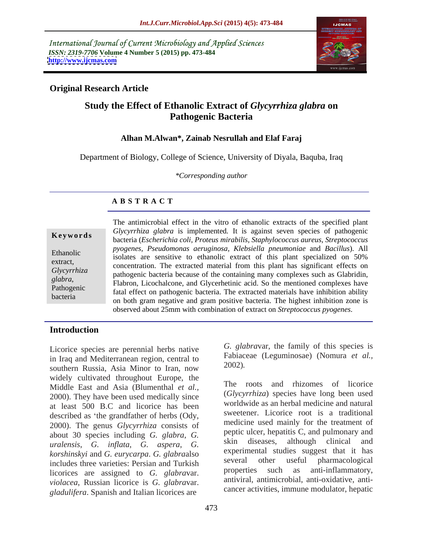International Journal of Current Microbiology and Applied Sciences *ISSN: 2319-7706* **Volume 4 Number 5 (2015) pp. 473-484 <http://www.ijcmas.com>**



## **Original Research Article**

# **Study the Effect of Ethanolic Extract of** *Glycyrrhiza glabra* **on Pathogenic Bacteria**

### **Alhan M.Alwan\*, Zainab Nesrullah and Elaf Faraj**

Department of Biology, College of Science, University of Diyala, Baquba, Iraq

*\*Corresponding author*

## **A B S T R A C T**

bacteria

The antimicrobial effect in the vitro of ethanolic extracts of the specified plant *Glycyrrhiza glabra* is implemented*.* It is against seven species of pathogenic bacteria (*Escherichia coli, Proteus mirabilis, Staphylococcus aureus, Streptococcus pyogenes, Pseudomonas aeruginosa, Klebsiella pneumoniae* and *Bacillus*). All Ethanolic subsequently by experience isolates are sensitive to ethanolic extract of this plant specialized on 50% extract,<br>
concentration. The extracted material from this plant has significant effects on pathogenic bacteria because of the containing many complexes such as Glabridin, *Glycyrrhiza* Flabron, Licochalcone, and Glycerhetinic acid. So the mentioned complexes have *glabra*, Pathogenic fatal effect on pathogenic bacteria. The extracted materials have inhibition ability on both gram negative and gram positive bacteria. The highest inhibition zone is **Ethanolic**<br>
bacteria (*Escherichia coli, Proteus mirabilis, Staphylococcus aureus, Streptococcus<br>
pyogenes, <i>Pseudomonas aeruginosa*, *Klebsiella pneumoniae* and *Bacillus*). All<br>
isolates are sensitive to ethanolic extra

### **Introduction**

Licorice species are perennial herbs native in Iraq and Mediterranean region, central to southern Russia, Asia Minor to Iran, now widely cultivated throughout Europe, the<br>Middle East and Asia (Blumanthal et al. The roots Middle East and Asia (Blumenthal *et al.,* 2000). They have been used medically since at least 500 B.C and licorice has been described as 'the grandfather of herbs (Ody, 2000). The genus *Glycyrrhiza* consists of about 30 species including *G. glabra*, *G. uralensis*, *G. inflata*, *G. aspera*, *G. korshinskyi* and *G. eurycarpa*. *G. glabra*also includes three varieties: Persian and Turkish<br>linearing are essigned to  $C$  alghmanatic properties such as anti-inflammatory, licorices are assigned to *G. glabra*var. *violacea*, Russian licorice is *G. glabra*var. *gladulifera*. Spanish and Italian licorices are

*G. glabra*var, the family of this species is Fabiaceae (Leguminosae) (Nomura *et al.,* 2002)*.* 

and rhizomes of licorice (*Glycyrrhiza*) species have long been used worldwide as an herbal medicine and natural sweetener. Licorice root is a traditional medicine used mainly for the treatment of peptic ulcer, hepatitis C, and pulmonary and skin diseases, although clinical and experimental studies suggest that it has several other useful pharmacological properties such as anti-inflammatory, antiviral, antimicrobial, anti-oxidative, anti cancer activities, immune modulator, hepatic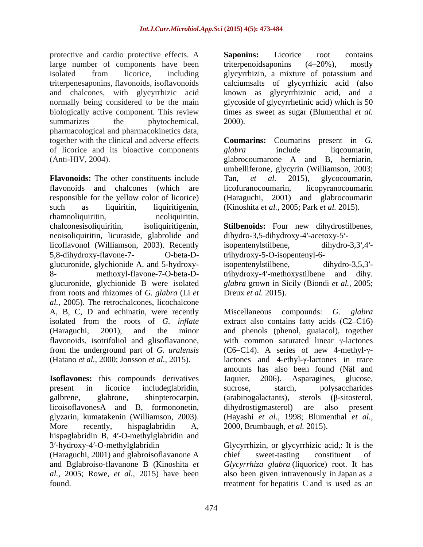protective and cardio protective effects. A **Saponins:** Licorice root contains large number of components have been triterpenoids aponing (4–20%), mostly isolated from licorice, including glycyrrhizin, a mixture of potassium and triterpenesaponins, flavonoids, isoflavonoids calciumsalts of glycyrrhizic acid (also and chalcones, with glycyrrhizic acid normally being considered to be the main glycoside of glycyrrhetinic acid) which is 50 biologically active component. This review times as sweet as sugar (Blumenthal *et al.* summarizes the phytochemical, 2000). pharmacological and pharmacokinetics data, together with the clinical and adverse effects **Coumarins:** Coumarins present in *G.*  of licorice and its bioactive components glabra include liquoumarin, (Anti-HIV, 2004). glabrocoumarone A and B, herniarin,

**Flavonoids:** The other constituents include Tan, et al. 2015), glycocoumarin, flavonoids and chalcones (which are responsible for the yellow color of licorice) (Haraguchi, 2001) and glabrocoumarin such as liquiritin, liquiritigenin, (Kinoshita *et al.,* 2005; Park *et al.* 2015). rhamnoliquiritin, meoliquiritin, meoliquiritin, chalconesisoliquiritin, isoliquiritigenin, **Stilbenoids:** Four new dihydrostilbenes, neoisoliquiritin, licuraside, glabrolide and licoflavonol (Williamson, 2003). Recently isopentenylstilbene, dihydro-3,3',4'-5,8-dihydroxy-flavone-7- O-beta-D- trihydroxy-5-O-isopentenyl-6 glucuronide, glychionide A, and 5-hydroxy-<br>isopentenylstilbene, dihydro-3,5,3'-8- methoxyl-flavone-7-O-beta-D- trihydroxy-4'-methoxystilbene and dihy. glucuronide, glychionide B were isolated glabra grown in Sicily (Biondi et al., 2005; from roots and rhizomes of *G. glabra* (Li *et al.,* 2005). The retrochalcones, licochalcone A, B, C, D and echinatin, were recently Miscellaneous compounds: G, glabra

**Isoflavones:** this compounds derivatives Jaquier, 2006). Asparagines, glucose, licoisoflavonesA and B, formononetin, More recently, hispaglabridin A, 2000, Brumbaugh, *et al.* 2015). hispaglabridin B, 4'-O-methylglabridin and 3 -hydroxy-4 -O-methylglabridin Glycyrrhizin, or glycyrrhizic acid,: It is the

**Saponins:** Licorice root contains triterpenoidsaponins (4–20%), mostly known as glycyrrhizinic acid, and a 2000).

*glabra* include liqcoumarin, umbelliferone, glycyrin (Williamson, 2003; Tan, *et al.* 2015), glycocoumarin, licopyranocoumarin

dihydro-3,5-dihydroxy-4'-acetoxy-5'isopentenylstilbene, dihydro-3,3 ,4 isopentenylstilbene, dihydro-3,5,3 trihydroxy-4 -methoxystilbene and dihy*. glabra* grown in Sicily (Biondi *et al.,* 2005; Dreux *et al.* 2015).

isolated from the roots of *G. inflate* extract also contains fatty acids (C2–C16) (Haraguchi, 2001), and the minor and phenols (phenol, guaiacol), together flavonoids, isotrifoliol and glisoflavanone, with common saturated linear  $\gamma$ -lactones from the underground part of *G. uralensis*  $(C6-C14)$ . A series of new 4-methyl- $\gamma$ -(Hatano *et al.*, 2000; Jonsson *et al.*, 2015). lactones and 4-ethyl-γ-lactones in trace present in licorice includeglabridin, sucrose, starch, polysaccharides galbrene, glabrone, shinpterocarpin, (arabinogalactants), sterols ( $\beta$ -sitosterol, glyzarin, kumatakenin (Williamson, 2003). (Hayashi *et al.,* 1998; Blumenthal *et al.,* Miscellaneous compounds: *G. glabra* amounts has also been found (Näf and Jaquier, 2006). Asparagines, glucose, sucrose, starch, polysaccharides dihydrostigmasterol) are also

(Haraguchi, 2001) and glabroisoflavanone A and Bglabroiso-flavanone B (Kinoshita *et Glycyrrhiza glabra* (liquorice) root. It has *al.,* 2005; Rowe, *et al.,* 2015) have been also been given intravenously in Japan as a found. treatment for hepatitis C and is used as anchief sweet-tasting constituent of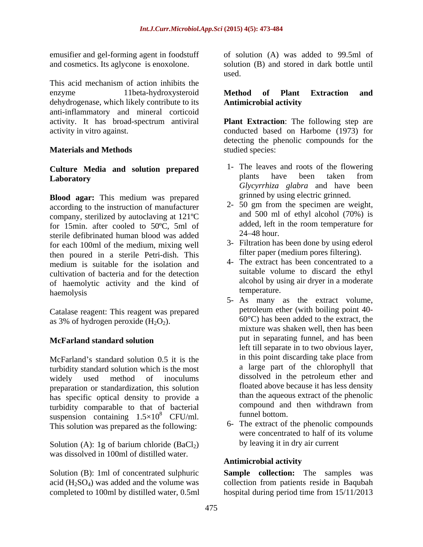emusifier and gel-forming agent in foodstuff and cosmetics. Its aglycone is enoxolone.

This acid mechanism of action inhibits the enzyme 11beta-hydroxysteroid Method of Plant Extraction and dehydrogenase, which likely contribute to its **Antimicrobial activity** anti-inflammatory and mineral corticoid

## **Culture Media and solution prepared Laboratory**

**Blood agar:** This medium was prepared according to the instruction of manufacturer company, sterilized by autoclaving at  $121^{\circ}\text{C}$  and 500 ml of ethyl alcohol (70%) is<br>for 15min after cooled to 50 $^{\circ}\text{C}$  5ml of added, left in the room temperature for for 15min. after cooled to  $50^{\circ}$ C, 5ml of added, lett 1 atomic definition blood was added  $24-48$  hour. sterile defibrinated human blood was added for each 100ml of the medium, mixing well then poured in a sterile Petri-dish. This medium is suitable for the isolation and cultivation of bacteria and for the detection of haemolytic activity and the kind of alcohol by us<br>haemolysis temperature. haemolysis temperature.

Catalase reagent: This reagent was prepared as 3% of hydrogen peroxide  $(H_2O_2)$ .

turbidity standard solution which is the most widely used method of inoculums dissolved in the petroleum ether and preparation or standardization, this solution has specific optical density to provide a than the aqueous extract of the phenolic<br>turbidity comparable to that of bacterial compound and then withdrawn from turbidity comparable to that of bacterial compound and compound and suspension containing  $1.5 \times 10^8$  CELUm funnel bottom. suspension containing  $1.5 \times 10^8$  CFU/ml. This solution was prepared as the following:

Solution (A): 1g of barium chloride  $(BaCl<sub>2</sub>)$ was dissolved in 100ml of distilled water.<br>Antimicrobial activity

completed to 100ml by distilled water, 0.5ml

of solution (A) was added to 99.5ml of solution (B) and stored in dark bottle until used. The contract of the contract of the contract of the contract of the contract of the contract of the contract of the contract of the contract of the contract of the contract of the contract of the contract of the cont

## **Method of Plant Extraction and Antimicrobial activity**

activity. It has broad-spectrum antiviral **Plant Extraction**: The following step are activity in vitro against. conducted based on Harbome (1973) for **Materials and Methods** detecting the phenolic compounds for the studied species:

- 1- The leaves and roots of the flowering plants have been taken from *Glycyrrhiza glabra* and have been grinned by using electric grinned.
- 2- 50 gm from the specimen are weight, and 500 ml of ethyl alcohol (70%) is added, left in the room temperature for 24 48 hour.
- 3- Filtration has been done by using ederol filter paper (medium pores filtering).
- 4- The extract has been concentrated to a suitable volume to discard the ethyl alcohol by using air dryer in a moderate temperature.
- **McFarland standard solution the put in separating funnel**, and has been McFarland's standard solution  $0.5$  it is the  $\frac{1}{10}$  in this point discarding take place from <sup>8</sup> CFU/ml. funnel bottom. 5- As many as the extract volume, petroleum ether (with boiling point 40- 60°C) has been added to the extract, the mixture was shaken well, then has been put in separating funnel, and has been left till separate in to two obvious layer, in this point discarding take place from a large part of the chlorophyll that floated above because it has less density than the aqueous extract of the phenolic compound and then withdrawn from funnel bottom.
	- 6- The extract of the phenolic compounds were concentrated to half of its volume by leaving it in dry air current

### **Antimicrobial activity**

Solution (B): 1ml of concentrated sulphuric **Sample collection:** The samples was acid  $(H<sub>2</sub>SO<sub>4</sub>)$  was added and the volume was collection from patients reside in Baqubah hospital during period time from 15/11/2013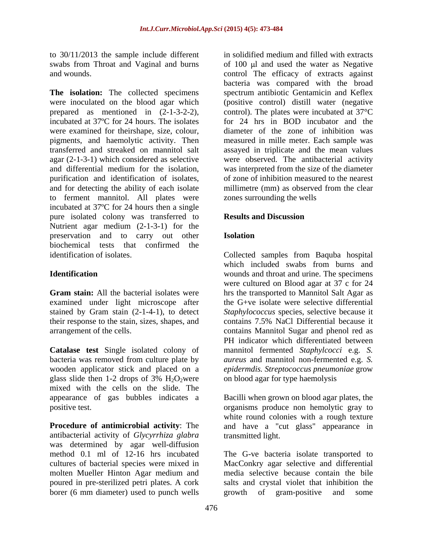to 30/11/2013 the sample include different swabs from Throat and Vaginal and burns

**The isolation:** The collected specimens spectrum antibiotic Gentamicin and Keflex were inoculated on the blood agar which (positive control) distill water (negative prepared as mentioned in (2-1-3-2-2), control). The plates were incubated at 37°C incubated at 37ºC for 24 hours. The isolates were examined for theirshape, size, colour, pigments, and haemolytic activity. Then measured in mille meter. Each sample was transferred and streaked on mannitol salt assayed in triplicate and the mean values agar (2-1-3-1) which considered as selective were observed. The antibacterial activity and differential medium for the isolation, purification and identification of isolates, of zone of inhibition measured to the nearest and for detecting the ability of each isolate millimetre (mm) as observed from the clear to ferment mannitol.All plates were incubated at 37ºC for 24 hours then a single pure isolated colony was transferred to **Results and Discussion** Nutrient agar medium (2-1-3-1) for the preservation and to carry out other **Isolation** biochemical tests that confirmed the identification of isolates. Collected samples from Baquba hospital

**Catalase test** Single isolated colony of mannitol fermented *Staphylcocci* e.g. *S.*  bacteria was removed from culture plate by *aureus* and mannitol non-fermented e.g. *S.* wooden applicator stick and placed on a glass slide then 1-2 drops of 3%  $H_2O_2$  were on blood agar for type haemolysis mixed with the cells on the slide. The appearance of gas bubbles indicates a

antibacterial activity of *Glycyrrhiza glabra* was determined by agar well-diffusion borer (6 mm diameter) used to punch wells erowth of gram-positive and some

and wounds. The efficacy of extracts against control The efficacy of extracts against in solidified medium and filled with extracts of  $100 \mu l$  and used the water as Negative bacteria was compared with the broad for 24 hrs in BOD incubator and the diameter of the zone of inhibition was was interpreted from the size of the diameter millimetre (mm) as observed from the clear zones surrounding the wells

### **Results and Discussion**

## **Isolation**

**Identification**  wounds and throat and urine. The specimens **Gram stain:** All the bacterial isolates were hrs the transported to Mannitol Salt Agar as examined under light microscope after the G+ve isolate were selective differential stained by Gram stain (2-1-4-1), to detect *Staphylococcus* species, selective because it their response to the stain, sizes, shapes, and contains 7.5% NaCl Differential because it arrangement of the cells. contains Mannitol Sugar and phenol red as which included swabs from burns and were cultured on Blood agar at 37 c for 24 PH indicator which differentiated between *epidermdis. Streptococcus pneumoniae* grow on blood agar for type haemolysis

positive test. organisms produce non hemolytic gray to **Procedure of antimicrobial activity**: The and have a "cut glass" appearance in Bacilli when grown on blood agar plates, the white round colonies with a rough texture transmitted light.

method 0.1 ml of 12-16 hrs incubated The G-ve bacteria isolate transported to cultures of bacterial species were mixed in MacConkry agar selective and differential molten Mueller Hinton Agar medium and media selective because contain the bile poured in pre-sterilized petri plates. A cork salts and crystal violet that inhibition the growth of gram-positive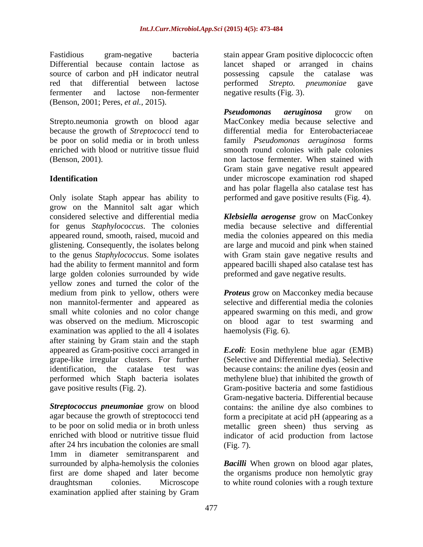source of carbon and pH indicator neutral possessing capsule the catalase was red that differential between lactose performed Strepto. pneumoniae gave (Benson, 2001; Peres, *et al.,* 2015).

Strepto.neumonia growth on blood agar because the growth of *Streptococci* tend to

Only isolate Staph appear has ability to grow on the Mannitol salt agar which considered selective and differential media *Klebsiella aerogense* grow on MacConkey for genus *Staphylococcus*. The colonies media because selective and differential appeared round, smooth, raised, mucoid and media the colonies appeared on this media glistening. Consequently, the isolates belong are large and mucoid and pink when stained to the genus *Staphylococcus*. Some isolates with Gram stain gave negative results and had the ability to ferment mannitol and form appeared bacilli shaped also catalase test has large golden colonies surrounded by wide yellow zones and turned the color of the medium from pink to yellow, others were *Proteus* grow on Macconkey media because non mannitol-fermenter and appeared as small white colonies and no color change appeared swarming on this medi, and grow was observed on the medium. Microscopic on blood agar to test swarming and examination was applied to the all 4 isolates haemolysis (Fig. 6). after staining by Gram stain and the staph appeared as Gram-positive cocci arranged in *E.coli*: Eosin methylene blue agar (EMB) grape-like irregular clusters. For further (Selective and Differential media). Selective identification, the catalase test was because contains: the aniline dyes (eosin and performed which Staph bacteria isolates

**Streptococcus pneumoniae** grow on blood contains: the aniline dye also combines to agar because the growth of streptococci tend form a precipitate at acid pH (appearing as a to be poor on solid media or in broth unless metallic green sheen) thus serving as enriched with blood or nutritive tissue fluid indicator of acid production from lactose after 24 hrs incubation the colonies are small 1mm in diameter semitransparent and surrounded by alpha-hemolysis the colonies *Bacilli* When grown on blood agar plates, first are dome shaped and later become the organisms produce non hemolytic gray draughtsman colonies. Microscope to white round colonies with a rough textureexamination applied after staining by Gram

Fastidious gram-negative bacteria stain appear Gram positive diplococcic often Differential because contain lactose as lancet shaped or arranged in chains fermenter and lactose non-fermenter negative results (Fig. 3). possessing capsule the catalase was performed *Strepto. pneumoniae* gave negative results (Fig. 3).

be poor on solid media or in broth unless family *Pseudomonas aeruginosa* forms enriched with blood or nutritive tissue fluid smooth round colonies with pale colonies (Benson, 2001). non lactose fermenter. When stained with **Identification** under microscope examination rod shaped *Pseudomonas aeruginosa* grow on MacConkey media because selective and differential media for Enterobacteriaceae Gram stain gave negative result appeared and has polar flagella also catalase test has performed and gave positive results (Fig. 4).

preformed and gave negative results.

selective and differential media the colonies haemolysis (Fig. 6).

gave positive results (Fig. 2). Gram-positive bacteria and some fastidious methylene blue) that inhibited the growth of Gram-negative bacteria. Differential because (Fig. 7).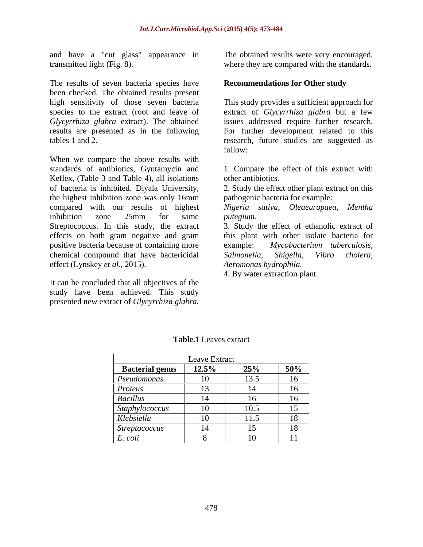and have a "cut glass" appearance in transmitted light (Fig. 8). where they are compared with the standards.

The results of seven bacteria species have been checked. The obtained results present high sensitivity of those seven bacteria results are presented as in the following

When we compare the above results with standards of antibiotics, Gyntamycin and 1. Compare the effect of this extract with Keflex, (Table 3 and Table 4), all isolations of bacteria is inhibited. Diyala University, 2. Study the effect other plant extract on this the highest inhibition zone was only 16mm apathogenic bacteria for example: compared with our results of highest *Nigeria sativa, Oleaeuropaea, Mentha* inhibition zone 25mm for same *putegium*. Streptococcus. In this study, the extract 3. Study the effect of ethanolic extract of positive bacteria because of containing more example: Mycobacterium tuberculosis, chemical compound that have bactericidal Salmonella, Shigella, Vibro cholera, effect (Lynskey *et al.,* 2015).

It can be concluded that all objectives of the study have been achieved. This study presented new extract of *Glycyrrhiza glabra.*

The obtained results were very encouraged,

### **Recommendations for Other study**

species to the extract (root and leave of extract of *Glycyrrhiza glabra* but a few *Glycyrrhiza glabra* extract). The obtained issues addressed require further research. tables 1 and 2. research, future studies are suggested as This study provides a sufficient approach for For further development related to this follow:

other antibiotics.

2. Study the effect other plant extract on this pathogenic bacteria for example:

effects on both gram negative and gram this plant with other isolate bacteria for *putegium*. 3. Study the effect of ethanolic extract of example: *Mycobacterium tuberculosis, Salmonella, Shigella, Vibro cholera, Aeromonas hydrophila.* 

4. By water extraction plant.

|                        | Leave Extract       |      |                |
|------------------------|---------------------|------|----------------|
| <b>Bacterial genus</b> | $\overline{12.5\%}$ | 25%  | 50%            |
| Pseudomonas            | 10                  | 13.5 | 16             |
| Proteus                | $\sqrt{12}$         |      | 16             |
| Bacillus               |                     |      | 16             |
| Staphylococcus         | $\overline{10}$     |      | $\overline{5}$ |
| Klebsiella             | 10                  | 11.5 | 18             |
| <i>Streptococcus</i>   | 14                  |      | 18             |
| E. coli                |                     | 1 Q  | 11             |

#### **Table.1** Leaves extract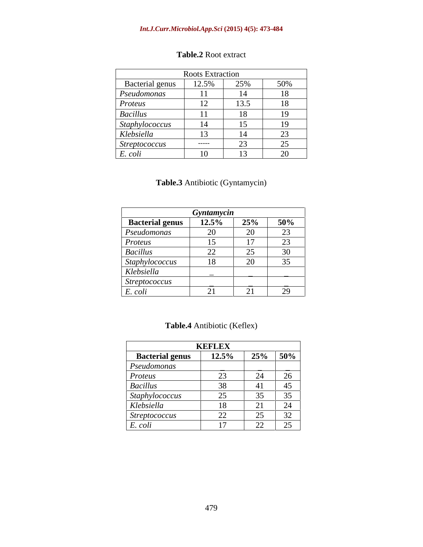#### *Int.J.Curr.Microbiol.App.Sci* **(2015) 4(5): 473-484**

| <b>Roots Extraction</b>             |                       |                      |                                 |
|-------------------------------------|-----------------------|----------------------|---------------------------------|
| <b>Bacterial genus</b>              | 12.5%                 | 25%                  | 50%                             |
| Pseudomonas                         |                       |                      | 18                              |
| Proteus                             | 12<br>$\mathbf{L}$    | 13.5                 | 18                              |
| <b>Bacillus</b>                     | $\mathbf{1}$          |                      | 19                              |
|                                     | 14                    |                      | $10^{-7}$                       |
| $\frac{Staphylococcus}{Klebsiella}$ |                       |                      | $\Omega$                        |
| <i>Streptococcus</i>                | ______                | $\cap$<br>$\Delta J$ | 25                              |
| E. coli                             | $\overline{10}$<br>10 | $\sim$<br>1 J        | $\Omega$<br>$\overline{\omega}$ |

# **Table.2** Root extract

# **Table.3** Antibiotic (Gyntamycin)

|                        | Gyntamycin               |            |  |
|------------------------|--------------------------|------------|--|
| <b>Bacterial genus</b> | $12.5\%$                 | $25\%$ 50% |  |
| Pseudomonas            | ZV                       |            |  |
| Proteus                | 15                       |            |  |
| <i>Bacillus</i>        | $\overline{\phantom{a}}$ |            |  |
| Staphylococcus         | 18                       | $\sim$     |  |
| Klebsiella             |                          |            |  |
| <i>Streptococcus</i>   |                          |            |  |
| . colt                 |                          |            |  |

|                              | <b>KEFLEX</b>                                 |           |                                          |
|------------------------------|-----------------------------------------------|-----------|------------------------------------------|
| <b>Bacterial genus</b>       | 12.5%                                         | 25%   50% |                                          |
| Pseudomonas                  | ___ <del>____________________________</del> _ |           |                                          |
| Proteus                      |                                               |           |                                          |
| <b>Bacillus</b>              |                                               |           |                                          |
|                              |                                               |           |                                          |
| Staphylococcus<br>Klebsiella |                                               |           |                                          |
| <i>Streptococcus</i>         | 22                                            |           |                                          |
|                              |                                               |           | $\angle$ $\angle$ $\rightarrow$ $\angle$ |

# **Table.4** Antibiotic (Keflex)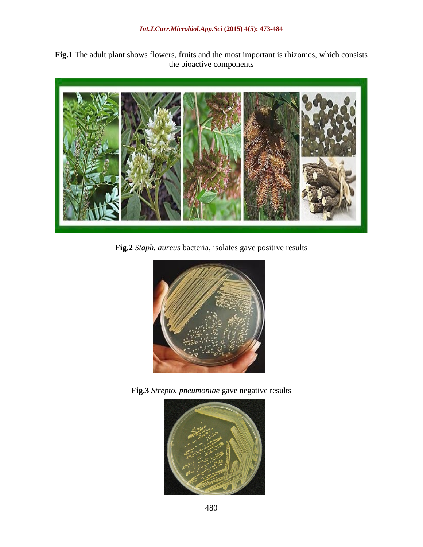**Fig.1** The adult plant shows flowers, fruits and the most important is rhizomes, which consists the bioactive components



**Fig.2** *Staph. aureus* bacteria, isolates gave positive results



**Fig.3** *Strepto. pneumoniae* gave negative results

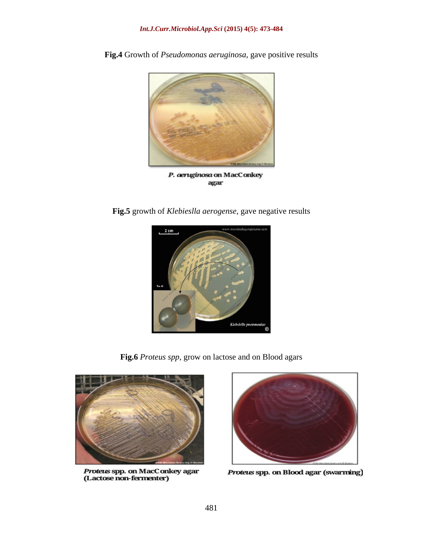

**Fig.4** Growth of *Pseudomonas aeruginosa*, gave positive results

P. aeruginosa on MacConkey agar

**Fig.5** growth of *Klebieslla aerogense*, gave negative results



**Fig.6** *Proteus spp*, grow on lactose and on Blood agars



Proteus spp. on MacConkey agar (Lactose non-fermenter)



Proteus spp. on Blood agar (swarming)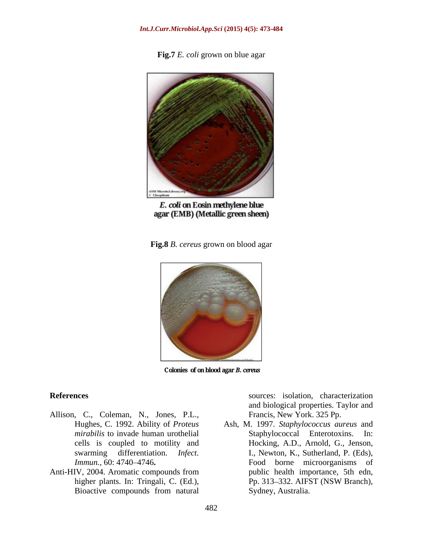**Fig.7** *E. coli* grown on blue agar



E. coli on Eosin methylene blue agar (EMB) (Metallic green sheen)

**Fig.8** *B. cereus* grown on blood agar



Colonies of on blood agar B. cereus

- Allison, C., Coleman, N., Jones, P.L.,
- Anti-HIV, 2004. Aromatic compounds from

**References** sources: isolation, characterization and biological properties. Taylor and Francis, New York. 325 Pp.

Hughes, C. 1992. Ability of *Proteus*  Ash, M. 1997. *Staphylococcus aureus* and *mirabilis* to invade human urothelial **Staphylococcal** Enterotoxins. In: cells is coupled to motility and Hocking, A.D., Arnold, G., Jenson, swarming differentiation. *Infect.*  I., Newton, K., Sutherland, P. (Eds), *Immun.*, 60: 4740–4746. The **Food** borne microorganisms of higher plants. In: Tringali, C. (Ed.), Pp. 313–332. AIFST (NSW Branch), Bioactive compounds from natural Sydney, Australia. Staphylococcal Enterotoxins. public health importance, 5th edn, Pp. 313–332. AIFST (NSW Branch), Sydney, Australia.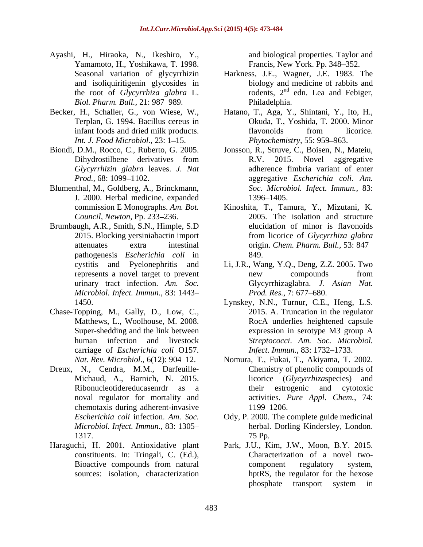- Ayashi, H., Hiraoka, N., Ikeshiro, Y., Yamamoto, H., Yoshikawa, T. 1998. *Biol. Pharm. Bull., 21: 987–989.* Philadelphia.
- 
- Dihydrostilbene derivatives from R.V.
- Blumenthal, M., Goldberg, A., Brinckmann, J. 2000. Herbal medicine, expanded
- Brumbaugh, A.R., Smith, S.N., Himple, S.D pathogenesis *Escherichia coli* in urinary tract infection. *Am. Soc. Microbiol. Infect. Immun.,* 83: 1443
- Chase-Topping, M., Gally, D., Low, C., carriage of *Escherichia coli* O157.
- Dreux, N., Cendra, M.M., Darfeuille chemotaxis during adherent-invasive
- constituents. In: Tringali, C. (Ed.),

and biological properties. Taylor and Francis, New York. Pp. 348-352.

- Seasonal variation of glycyrrhizin Harkness, J.E., Wagner, J.E. 1983. The and isoliquiritigenin glycosides in biology and medicine of rabbits and the root of *Glycyrrhiza* glabra L. rodents,  $2<sup>nd</sup>$  edn. Lea and Febiger, edn. Lea and Febiger, Philadelphia.
- Becker, H., Schaller, G., von Wiese, W., Hatano, T., Aga, Y., Shintani, Y., Ito, H., Terplan, G. 1994. Bacillus cereus in Okuda, T., Yoshida, T. 2000. Minor infant foods and dried milk products. The flavonoids from licorice. *Int. J. Food Microbiol.,* 23: 1–15. *Phytochemistry,* 55: 959–963. flavonoids from licorice.
- Biondi, D.M., Rocco, C., Ruberto, G. 2005. Jonsson, R., Struve, C., Boisen, N., Mateiu, *Glycyrrhizin glabra* leaves. *J. Nat* adherence fimbria variant of enter Prod., 68: 1099–1102. **aggregative** *Escherichia coli. Am.* 2015. Novel aggregative *Soc. Microbiol. Infect. Immun.,* 83: 1396–1405.
	- commission E Monographs. *Am. Bot.*  Kinoshita, T., Tamura, Y., Mizutani, K. Council, *Newton*, Pp. 233–236. 2005. The isolation and structure 2015. Blocking yersiniabactin import from licorice of *Glycyrrhiza glabra* attenuates extra intestinal origin. *Chem. Pharm. Bull.,* 53: 847 elucidation of minor is flavonoids 849.
	- cystitis and Pyelonephritis and Li, J.R., Wang, Y.Q., Deng, Z.Z. 2005. Two represents a novel target to prevent new compounds from Glycyrrhizaglabra. *J. Asian Nat. Prod. Res., 7: 677–680.*
	- 1450. Lynskey, N.N., Turnur, C.E., Heng, L.S. Matthews, L., Woolhouse, M. 2008. <br>RocA underlies heightened capsule Super-shedding and the link between expression in serotype M3 group A human infection and livestock *Streptococci*. *Am. Soc. Microbiol.* 2015. A. Truncation in the regulator expression in serotype M3 group A *Infect. Immun., 83: 1732-1733.*
	- *Nat. Rev. Microbiol*., 6(12): 904 12. Nomura, T., Fukai, T., Akiyama, T. 2002. Michaud, A., Barnich, N. 2015. licorice (*Glycyrrhiza*species) and Ribonucleotidereducasenrdr as a their estrogenic and cytotoxic noval regulator for mortality and activities. *Pure Appl. Chem.,* 74: Chemistry of phenolic compounds of their estrogenic and cytotoxic 1199–1206.
	- *Escherichia coli* infection. *Am. Soc.* Ody, P. 2000. The complete guide medicinal *Microbiol. Infect. Immun.,* 83: 1305 herbal. Dorling Kindersley, London. 1317. 75 Pp.
- Haraguchi, H. 2001. Antioxidative plant Park, J.U., Kim, J.W., Moon, B.Y. 2015. Bioactive compounds from natural sources: isolation, characterization hptRS, the regulator for the hexose Characterization of a novel two component regulatory system, phosphate transport system in